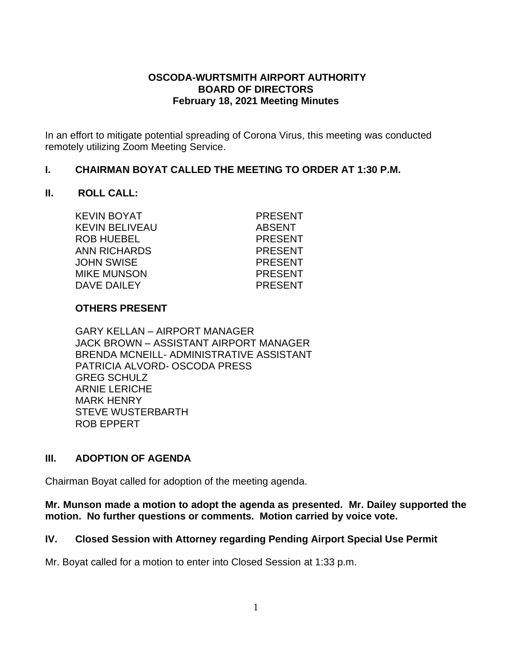#### **OSCODA-WURTSMITH AIRPORT AUTHORITY BOARD OF DIRECTORS February 18, 2021 Meeting Minutes**

In an effort to mitigate potential spreading of Corona Virus, this meeting was conducted remotely utilizing Zoom Meeting Service.

#### **I. CHAIRMAN BOYAT CALLED THE MEETING TO ORDER AT 1:30 P.M.**

#### **II. ROLL CALL:**

| KEVIN BOYAT        | <b>PRESENT</b> |
|--------------------|----------------|
| KEVIN BELIVEAU     | <b>ABSENT</b>  |
|                    |                |
| <b>ROB HUEBEL</b>  | <b>PRESENT</b> |
| ANN RICHARDS       | <b>PRESENT</b> |
| JOHN SWISE         | <b>PRESENT</b> |
| <b>MIKE MUNSON</b> | <b>PRESENT</b> |
| DAVE DAILEY        | <b>PRESENT</b> |
|                    |                |

#### **OTHERS PRESENT**

GARY KELLAN – AIRPORT MANAGER JACK BROWN – ASSISTANT AIRPORT MANAGER BRENDA MCNEILL- ADMINISTRATIVE ASSISTANT PATRICIA ALVORD- OSCODA PRESS GREG SCHULZ ARNIE LERICHE MARK HENRY STEVE WUSTERBARTH ROB EPPERT

## **III. ADOPTION OF AGENDA**

Chairman Boyat called for adoption of the meeting agenda.

**Mr. Munson made a motion to adopt the agenda as presented. Mr. Dailey supported the motion. No further questions or comments. Motion carried by voice vote.**

#### **IV. Closed Session with Attorney regarding Pending Airport Special Use Permit**

Mr. Boyat called for a motion to enter into Closed Session at 1:33 p.m.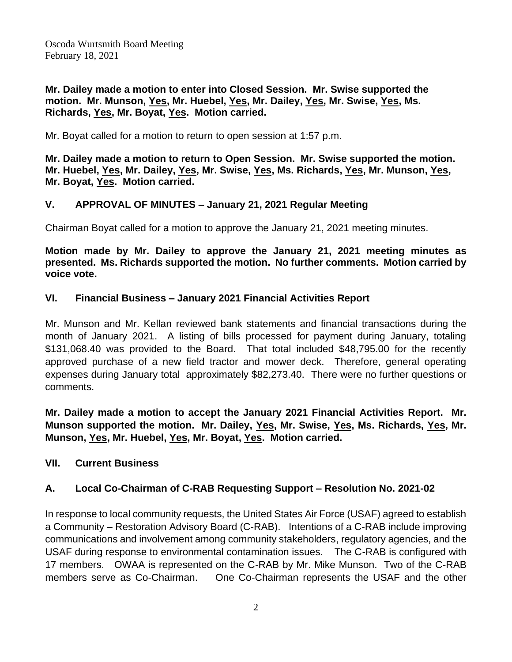**Mr. Dailey made a motion to enter into Closed Session. Mr. Swise supported the motion. Mr. Munson, Yes, Mr. Huebel, Yes, Mr. Dailey, Yes, Mr. Swise, Yes, Ms. Richards, Yes, Mr. Boyat, Yes. Motion carried.**

Mr. Boyat called for a motion to return to open session at 1:57 p.m.

**Mr. Dailey made a motion to return to Open Session. Mr. Swise supported the motion. Mr. Huebel, Yes, Mr. Dailey, Yes, Mr. Swise, Yes, Ms. Richards, Yes, Mr. Munson, Yes, Mr. Boyat, Yes. Motion carried.**

## **V. APPROVAL OF MINUTES – January 21, 2021 Regular Meeting**

Chairman Boyat called for a motion to approve the January 21, 2021 meeting minutes.

**Motion made by Mr. Dailey to approve the January 21, 2021 meeting minutes as presented. Ms. Richards supported the motion. No further comments. Motion carried by voice vote.**

## **VI. Financial Business – January 2021 Financial Activities Report**

Mr. Munson and Mr. Kellan reviewed bank statements and financial transactions during the month of January 2021. A listing of bills processed for payment during January, totaling \$131,068.40 was provided to the Board. That total included \$48,795.00 for the recently approved purchase of a new field tractor and mower deck. Therefore, general operating expenses during January total approximately \$82,273.40. There were no further questions or comments.

**Mr. Dailey made a motion to accept the January 2021 Financial Activities Report. Mr. Munson supported the motion. Mr. Dailey, Yes, Mr. Swise, Yes, Ms. Richards, Yes, Mr. Munson, Yes, Mr. Huebel, Yes, Mr. Boyat, Yes. Motion carried.**

## **VII. Current Business**

# **A. Local Co-Chairman of C-RAB Requesting Support – Resolution No. 2021-02**

In response to local community requests, the United States Air Force (USAF) agreed to establish a Community – Restoration Advisory Board (C-RAB). Intentions of a C-RAB include improving communications and involvement among community stakeholders, regulatory agencies, and the USAF during response to environmental contamination issues. The C-RAB is configured with 17 members. OWAA is represented on the C-RAB by Mr. Mike Munson. Two of the C-RAB members serve as Co-Chairman. One Co-Chairman represents the USAF and the other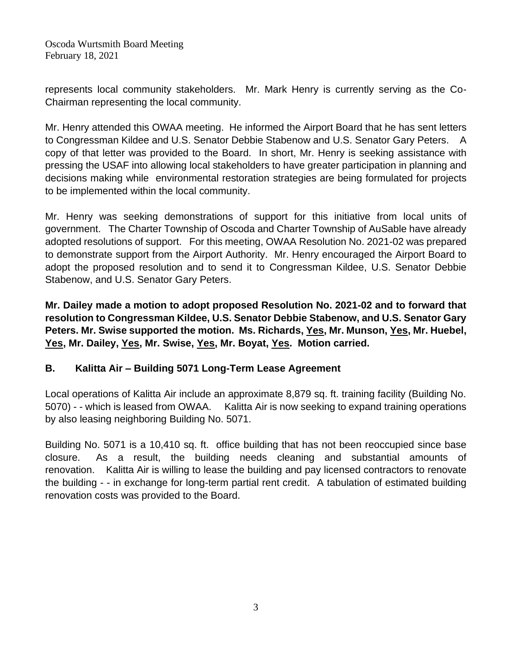Oscoda Wurtsmith Board Meeting February 18, 2021

represents local community stakeholders. Mr. Mark Henry is currently serving as the Co-Chairman representing the local community.

Mr. Henry attended this OWAA meeting. He informed the Airport Board that he has sent letters to Congressman Kildee and U.S. Senator Debbie Stabenow and U.S. Senator Gary Peters. A copy of that letter was provided to the Board. In short, Mr. Henry is seeking assistance with pressing the USAF into allowing local stakeholders to have greater participation in planning and decisions making while environmental restoration strategies are being formulated for projects to be implemented within the local community.

Mr. Henry was seeking demonstrations of support for this initiative from local units of government. The Charter Township of Oscoda and Charter Township of AuSable have already adopted resolutions of support. For this meeting, OWAA Resolution No. 2021-02 was prepared to demonstrate support from the Airport Authority. Mr. Henry encouraged the Airport Board to adopt the proposed resolution and to send it to Congressman Kildee, U.S. Senator Debbie Stabenow, and U.S. Senator Gary Peters.

**Mr. Dailey made a motion to adopt proposed Resolution No. 2021-02 and to forward that resolution to Congressman Kildee, U.S. Senator Debbie Stabenow, and U.S. Senator Gary Peters. Mr. Swise supported the motion. Ms. Richards, Yes, Mr. Munson, Yes, Mr. Huebel, Yes, Mr. Dailey, Yes, Mr. Swise, Yes, Mr. Boyat, Yes. Motion carried.**

## **B. Kalitta Air – Building 5071 Long-Term Lease Agreement**

Local operations of Kalitta Air include an approximate 8,879 sq. ft. training facility (Building No. 5070) - - which is leased from OWAA. Kalitta Air is now seeking to expand training operations by also leasing neighboring Building No. 5071.

Building No. 5071 is a 10,410 sq. ft. office building that has not been reoccupied since base closure. As a result, the building needs cleaning and substantial amounts of renovation. Kalitta Air is willing to lease the building and pay licensed contractors to renovate the building - - in exchange for long-term partial rent credit. A tabulation of estimated building renovation costs was provided to the Board.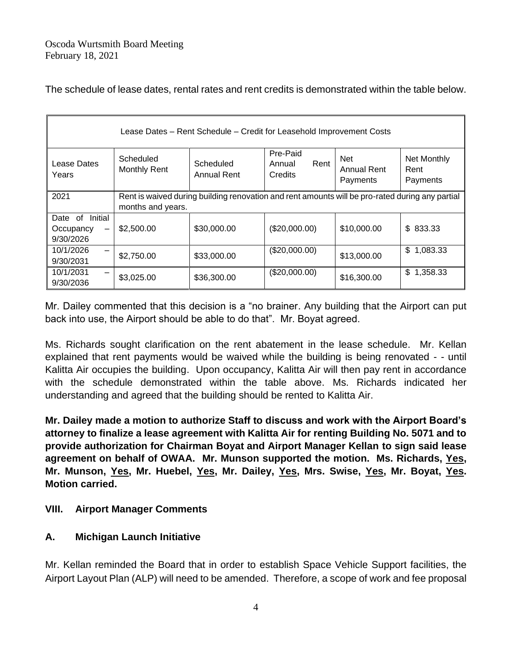The schedule of lease dates, rental rates and rent credits is demonstrated within the table below.

| Lease Dates - Rent Schedule - Credit for Leasehold Improvement Costs |                                                                                                                      |                          |                                       |                                              |                                 |  |
|----------------------------------------------------------------------|----------------------------------------------------------------------------------------------------------------------|--------------------------|---------------------------------------|----------------------------------------------|---------------------------------|--|
| Lease Dates<br>Years                                                 | Scheduled<br><b>Monthly Rent</b>                                                                                     | Scheduled<br>Annual Rent | Pre-Paid<br>Rent<br>Annual<br>Credits | <b>Net</b><br><b>Annual Rent</b><br>Payments | Net Monthly<br>Rent<br>Payments |  |
| 2021                                                                 | Rent is waived during building renovation and rent amounts will be pro-rated during any partial<br>months and years. |                          |                                       |                                              |                                 |  |
| Date of Initial<br>Occupancy<br>9/30/2026                            | \$2,500.00                                                                                                           | \$30,000.00              | (\$20,000.00)                         | \$10,000.00                                  | \$833.33                        |  |
| 10/1/2026<br>9/30/2031                                               | \$2,750.00                                                                                                           | \$33,000.00              | (\$20,000.00)                         | \$13,000.00                                  | \$<br>1,083.33                  |  |
| 10/1/2031<br>9/30/2036                                               | \$3,025.00                                                                                                           | \$36,300.00              | (\$20,000.00)                         | \$16,300.00                                  | \$<br>1,358.33                  |  |

Mr. Dailey commented that this decision is a "no brainer. Any building that the Airport can put back into use, the Airport should be able to do that". Mr. Boyat agreed.

Ms. Richards sought clarification on the rent abatement in the lease schedule. Mr. Kellan explained that rent payments would be waived while the building is being renovated - - until Kalitta Air occupies the building. Upon occupancy, Kalitta Air will then pay rent in accordance with the schedule demonstrated within the table above. Ms. Richards indicated her understanding and agreed that the building should be rented to Kalitta Air.

**Mr. Dailey made a motion to authorize Staff to discuss and work with the Airport Board's attorney to finalize a lease agreement with Kalitta Air for renting Building No. 5071 and to provide authorization for Chairman Boyat and Airport Manager Kellan to sign said lease agreement on behalf of OWAA. Mr. Munson supported the motion. Ms. Richards, Yes, Mr. Munson, Yes, Mr. Huebel, Yes, Mr. Dailey, Yes, Mrs. Swise, Yes, Mr. Boyat, Yes. Motion carried.**

# **VIII. Airport Manager Comments**

# **A. Michigan Launch Initiative**

Mr. Kellan reminded the Board that in order to establish Space Vehicle Support facilities, the Airport Layout Plan (ALP) will need to be amended. Therefore, a scope of work and fee proposal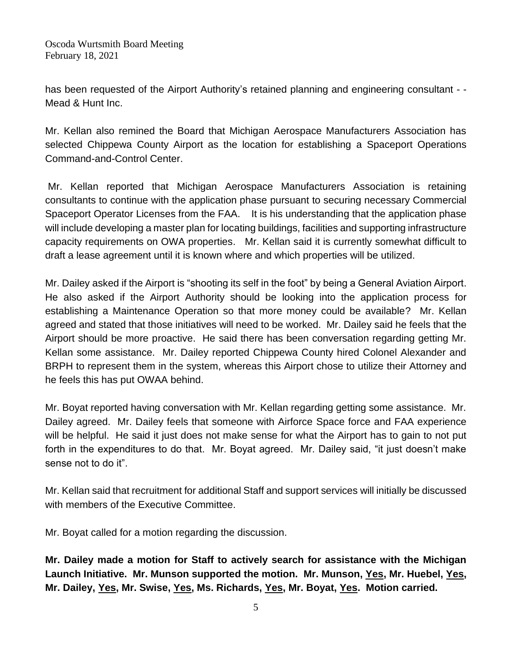Oscoda Wurtsmith Board Meeting February 18, 2021

has been requested of the Airport Authority's retained planning and engineering consultant - - Mead & Hunt Inc.

Mr. Kellan also remined the Board that Michigan Aerospace Manufacturers Association has selected Chippewa County Airport as the location for establishing a Spaceport Operations Command-and-Control Center.

Mr. Kellan reported that Michigan Aerospace Manufacturers Association is retaining consultants to continue with the application phase pursuant to securing necessary Commercial Spaceport Operator Licenses from the FAA. It is his understanding that the application phase will include developing a master plan for locating buildings, facilities and supporting infrastructure capacity requirements on OWA properties. Mr. Kellan said it is currently somewhat difficult to draft a lease agreement until it is known where and which properties will be utilized.

Mr. Dailey asked if the Airport is "shooting its self in the foot" by being a General Aviation Airport. He also asked if the Airport Authority should be looking into the application process for establishing a Maintenance Operation so that more money could be available? Mr. Kellan agreed and stated that those initiatives will need to be worked. Mr. Dailey said he feels that the Airport should be more proactive. He said there has been conversation regarding getting Mr. Kellan some assistance. Mr. Dailey reported Chippewa County hired Colonel Alexander and BRPH to represent them in the system, whereas this Airport chose to utilize their Attorney and he feels this has put OWAA behind.

Mr. Boyat reported having conversation with Mr. Kellan regarding getting some assistance. Mr. Dailey agreed. Mr. Dailey feels that someone with Airforce Space force and FAA experience will be helpful. He said it just does not make sense for what the Airport has to gain to not put forth in the expenditures to do that. Mr. Boyat agreed. Mr. Dailey said, "it just doesn't make sense not to do it".

Mr. Kellan said that recruitment for additional Staff and support services will initially be discussed with members of the Executive Committee.

Mr. Boyat called for a motion regarding the discussion.

**Mr. Dailey made a motion for Staff to actively search for assistance with the Michigan Launch Initiative. Mr. Munson supported the motion. Mr. Munson, Yes, Mr. Huebel, Yes, Mr. Dailey, Yes, Mr. Swise, Yes, Ms. Richards, Yes, Mr. Boyat, Yes. Motion carried.**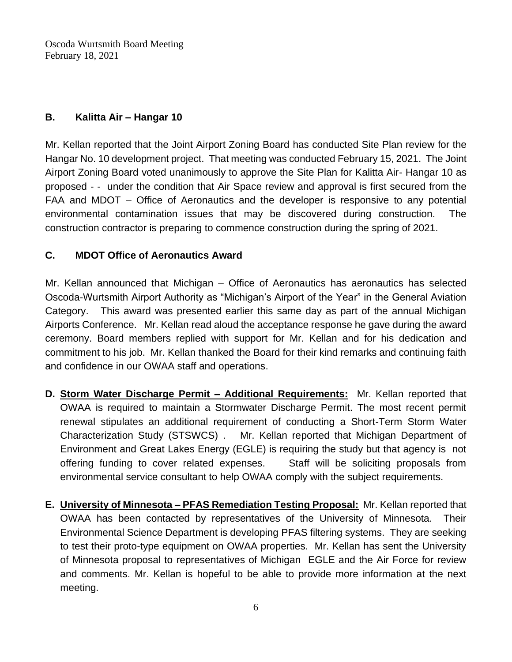Oscoda Wurtsmith Board Meeting February 18, 2021

## **B. Kalitta Air – Hangar 10**

Mr. Kellan reported that the Joint Airport Zoning Board has conducted Site Plan review for the Hangar No. 10 development project. That meeting was conducted February 15, 2021. The Joint Airport Zoning Board voted unanimously to approve the Site Plan for Kalitta Air- Hangar 10 as proposed - - under the condition that Air Space review and approval is first secured from the FAA and MDOT – Office of Aeronautics and the developer is responsive to any potential environmental contamination issues that may be discovered during construction. The construction contractor is preparing to commence construction during the spring of 2021.

#### **C. MDOT Office of Aeronautics Award**

Mr. Kellan announced that Michigan – Office of Aeronautics has aeronautics has selected Oscoda-Wurtsmith Airport Authority as "Michigan's Airport of the Year" in the General Aviation Category. This award was presented earlier this same day as part of the annual Michigan Airports Conference. Mr. Kellan read aloud the acceptance response he gave during the award ceremony. Board members replied with support for Mr. Kellan and for his dedication and commitment to his job. Mr. Kellan thanked the Board for their kind remarks and continuing faith and confidence in our OWAA staff and operations.

- **D. Storm Water Discharge Permit – Additional Requirements:** Mr. Kellan reported that OWAA is required to maintain a Stormwater Discharge Permit. The most recent permit renewal stipulates an additional requirement of conducting a Short-Term Storm Water Characterization Study (STSWCS) . Mr. Kellan reported that Michigan Department of Environment and Great Lakes Energy (EGLE) is requiring the study but that agency is not offering funding to cover related expenses. Staff will be soliciting proposals from environmental service consultant to help OWAA comply with the subject requirements.
- **E. University of Minnesota – PFAS Remediation Testing Proposal:** Mr. Kellan reported that OWAA has been contacted by representatives of the University of Minnesota. Their Environmental Science Department is developing PFAS filtering systems. They are seeking to test their proto-type equipment on OWAA properties. Mr. Kellan has sent the University of Minnesota proposal to representatives of Michigan EGLE and the Air Force for review and comments. Mr. Kellan is hopeful to be able to provide more information at the next meeting.